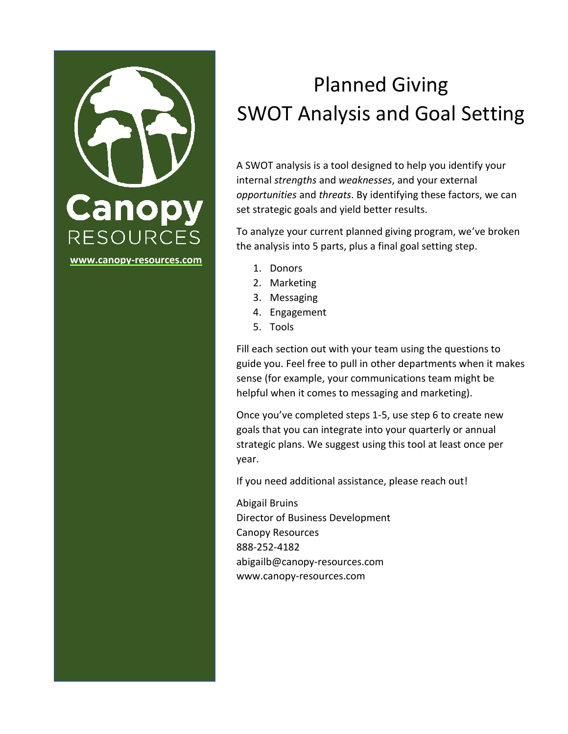

# Planned Giving SWOT Analysis and Goal Setting

A SWOT analysis is a tool designed to help you identify your internal *strengths* and *weaknesses*, and your external *opportunities* and *threats*. By identifying these factors, we can set strategic goals and yield better results.

To analyze your current planned giving program, we've broken the analysis into 5 parts, plus a final goal setting step.

- 1. Donors
- 2. Marketing
- 3. Messaging
- 4. Engagement
- 5. Tools

Fill each section out with your team using the questions to guide you. Feel free to pull in other departments when it makes sense (for example, your communications team might be helpful when it comes to messaging and marketing).

Once you've completed steps 1-5, use step 6 to create new goals that you can integrate into your quarterly or annual strategic plans. We suggest using this tool at least once per year.

If you need additional assistance, please reach out!

Abigail Bruins Director of Business Development Canopy Resources 888-252-4182 abigailb@canopy-resources.com www.canopy-resources.com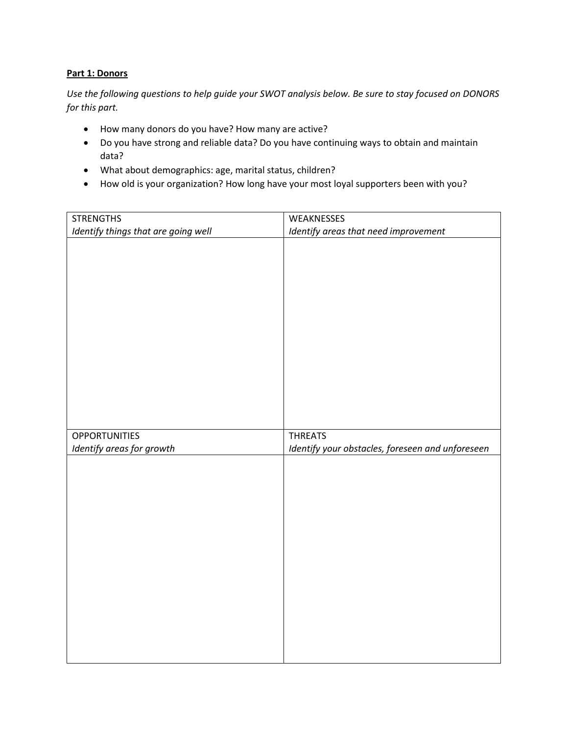## **Part 1: Donors**

*Use the following questions to help guide your SWOT analysis below. Be sure to stay focused on DONORS for this part.* 

- How many donors do you have? How many are active?
- Do you have strong and reliable data? Do you have continuing ways to obtain and maintain data?
- What about demographics: age, marital status, children?
- How old is your organization? How long have your most loyal supporters been with you?

| <b>STRENGTHS</b>                    | WEAKNESSES                                       |
|-------------------------------------|--------------------------------------------------|
| Identify things that are going well | Identify areas that need improvement             |
|                                     |                                                  |
|                                     |                                                  |
|                                     |                                                  |
|                                     |                                                  |
|                                     |                                                  |
|                                     |                                                  |
|                                     |                                                  |
|                                     |                                                  |
|                                     |                                                  |
|                                     |                                                  |
|                                     |                                                  |
|                                     |                                                  |
|                                     |                                                  |
|                                     |                                                  |
| <b>OPPORTUNITIES</b>                | <b>THREATS</b>                                   |
|                                     |                                                  |
| Identify areas for growth           | Identify your obstacles, foreseen and unforeseen |
|                                     |                                                  |
|                                     |                                                  |
|                                     |                                                  |
|                                     |                                                  |
|                                     |                                                  |
|                                     |                                                  |
|                                     |                                                  |
|                                     |                                                  |
|                                     |                                                  |
|                                     |                                                  |
|                                     |                                                  |
|                                     |                                                  |
|                                     |                                                  |
|                                     |                                                  |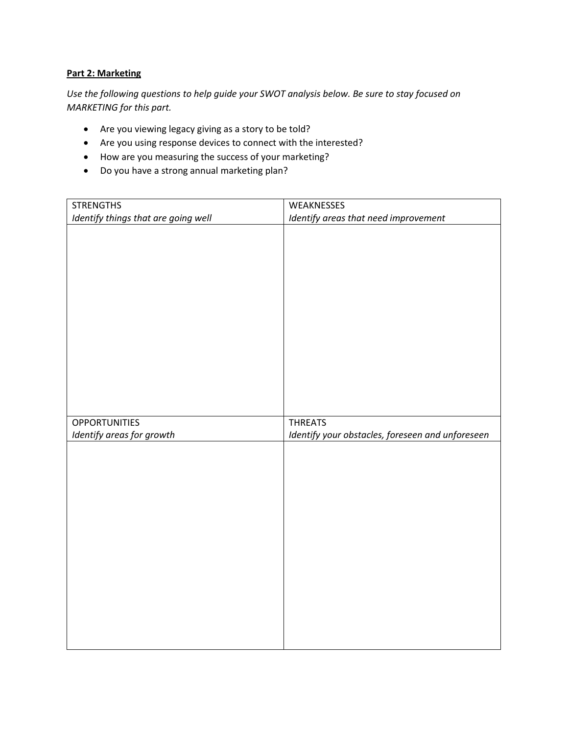## **Part 2: Marketing**

*Use the following questions to help guide your SWOT analysis below. Be sure to stay focused on MARKETING for this part.* 

- Are you viewing legacy giving as a story to be told?
- Are you using response devices to connect with the interested?
- How are you measuring the success of your marketing?
- Do you have a strong annual marketing plan?

| <b>STRENGTHS</b>                    | WEAKNESSES                                       |
|-------------------------------------|--------------------------------------------------|
| Identify things that are going well | Identify areas that need improvement             |
|                                     |                                                  |
|                                     |                                                  |
|                                     |                                                  |
|                                     |                                                  |
|                                     |                                                  |
|                                     |                                                  |
|                                     |                                                  |
|                                     |                                                  |
|                                     |                                                  |
|                                     |                                                  |
|                                     |                                                  |
|                                     |                                                  |
|                                     |                                                  |
|                                     |                                                  |
| <b>OPPORTUNITIES</b>                | <b>THREATS</b>                                   |
|                                     |                                                  |
|                                     |                                                  |
| Identify areas for growth           | Identify your obstacles, foreseen and unforeseen |
|                                     |                                                  |
|                                     |                                                  |
|                                     |                                                  |
|                                     |                                                  |
|                                     |                                                  |
|                                     |                                                  |
|                                     |                                                  |
|                                     |                                                  |
|                                     |                                                  |
|                                     |                                                  |
|                                     |                                                  |
|                                     |                                                  |
|                                     |                                                  |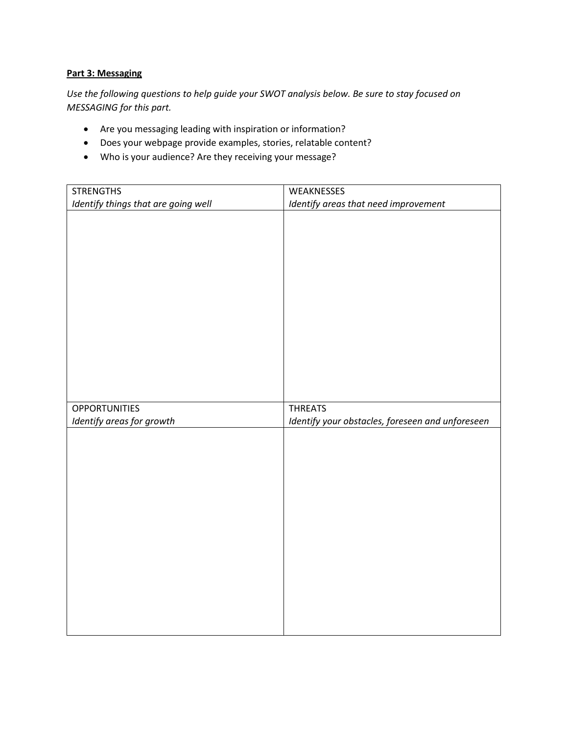#### **Part 3: Messaging**

*Use the following questions to help guide your SWOT analysis below. Be sure to stay focused on MESSAGING for this part.* 

- Are you messaging leading with inspiration or information?
- Does your webpage provide examples, stories, relatable content?
- Who is your audience? Are they receiving your message?

| <b>STRENGTHS</b>                    | WEAKNESSES                                       |
|-------------------------------------|--------------------------------------------------|
| Identify things that are going well | Identify areas that need improvement             |
|                                     |                                                  |
|                                     |                                                  |
|                                     |                                                  |
|                                     |                                                  |
|                                     |                                                  |
|                                     |                                                  |
|                                     |                                                  |
|                                     |                                                  |
|                                     |                                                  |
|                                     |                                                  |
|                                     |                                                  |
|                                     |                                                  |
|                                     |                                                  |
| <b>OPPORTUNITIES</b>                | <b>THREATS</b>                                   |
| Identify areas for growth           | Identify your obstacles, foreseen and unforeseen |
|                                     |                                                  |
|                                     |                                                  |
|                                     |                                                  |
|                                     |                                                  |
|                                     |                                                  |
|                                     |                                                  |
|                                     |                                                  |
|                                     |                                                  |
|                                     |                                                  |
|                                     |                                                  |
|                                     |                                                  |
|                                     |                                                  |
|                                     |                                                  |
|                                     |                                                  |
|                                     |                                                  |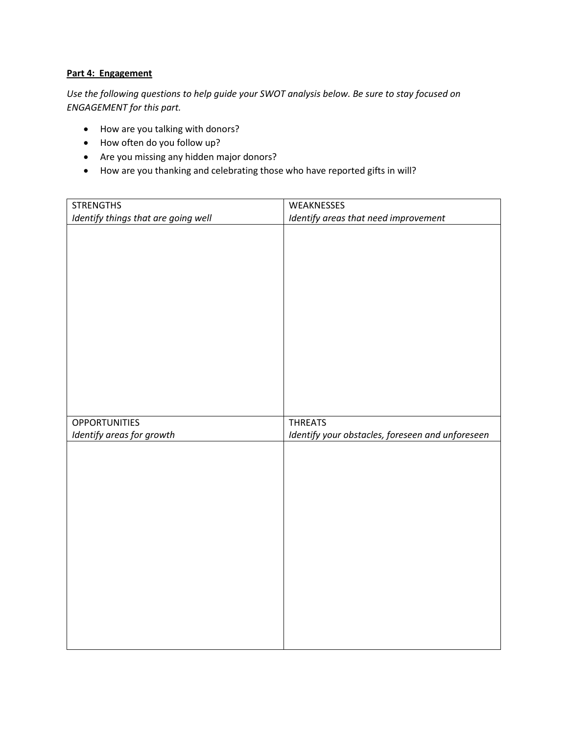## **Part 4: Engagement**

*Use the following questions to help guide your SWOT analysis below. Be sure to stay focused on ENGAGEMENT for this part.* 

- How are you talking with donors?
- How often do you follow up?
- Are you missing any hidden major donors?
- How are you thanking and celebrating those who have reported gifts in will?

| <b>STRENGTHS</b>                    | WEAKNESSES                                       |
|-------------------------------------|--------------------------------------------------|
| Identify things that are going well | Identify areas that need improvement             |
|                                     |                                                  |
|                                     |                                                  |
|                                     |                                                  |
|                                     |                                                  |
|                                     |                                                  |
|                                     |                                                  |
|                                     |                                                  |
|                                     |                                                  |
|                                     |                                                  |
|                                     |                                                  |
|                                     |                                                  |
|                                     |                                                  |
|                                     |                                                  |
|                                     |                                                  |
| <b>OPPORTUNITIES</b>                | <b>THREATS</b>                                   |
| Identify areas for growth           | Identify your obstacles, foreseen and unforeseen |
|                                     |                                                  |
|                                     |                                                  |
|                                     |                                                  |
|                                     |                                                  |
|                                     |                                                  |
|                                     |                                                  |
|                                     |                                                  |
|                                     |                                                  |
|                                     |                                                  |
|                                     |                                                  |
|                                     |                                                  |
|                                     |                                                  |
|                                     |                                                  |
|                                     |                                                  |
|                                     |                                                  |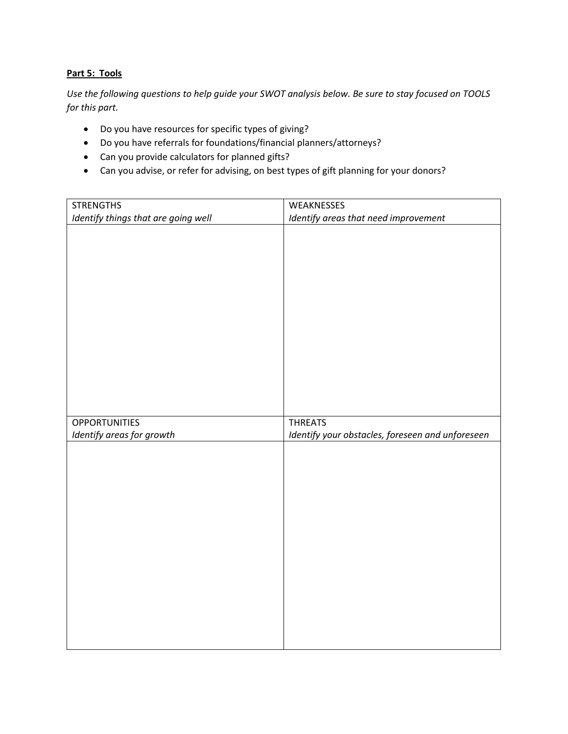## **Part 5: Tools**

*Use the following questions to help guide your SWOT analysis below. Be sure to stay focused on TOOLS for this part.* 

- Do you have resources for specific types of giving?
- Do you have referrals for foundations/financial planners/attorneys?
- Can you provide calculators for planned gifts?
- Can you advise, or refer for advising, on best types of gift planning for your donors?

| <b>STRENGTHS</b>                    | WEAKNESSES                                       |
|-------------------------------------|--------------------------------------------------|
| Identify things that are going well | Identify areas that need improvement             |
|                                     |                                                  |
|                                     |                                                  |
|                                     |                                                  |
|                                     |                                                  |
|                                     |                                                  |
|                                     |                                                  |
|                                     |                                                  |
|                                     |                                                  |
|                                     |                                                  |
|                                     |                                                  |
|                                     |                                                  |
|                                     |                                                  |
|                                     |                                                  |
|                                     |                                                  |
| <b>OPPORTUNITIES</b>                | <b>THREATS</b>                                   |
|                                     |                                                  |
| Identify areas for growth           | Identify your obstacles, foreseen and unforeseen |
|                                     |                                                  |
|                                     |                                                  |
|                                     |                                                  |
|                                     |                                                  |
|                                     |                                                  |
|                                     |                                                  |
|                                     |                                                  |
|                                     |                                                  |
|                                     |                                                  |
|                                     |                                                  |
|                                     |                                                  |
|                                     |                                                  |
|                                     |                                                  |
|                                     |                                                  |